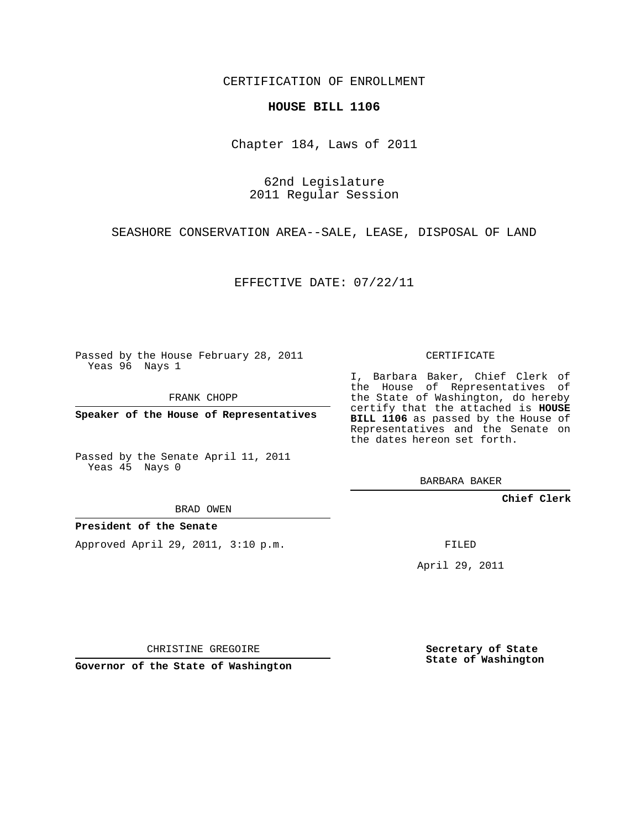CERTIFICATION OF ENROLLMENT

## **HOUSE BILL 1106**

Chapter 184, Laws of 2011

62nd Legislature 2011 Regular Session

SEASHORE CONSERVATION AREA--SALE, LEASE, DISPOSAL OF LAND

EFFECTIVE DATE: 07/22/11

Passed by the House February 28, 2011 Yeas 96 Nays 1

FRANK CHOPP

**Speaker of the House of Representatives**

Passed by the Senate April 11, 2011 Yeas 45 Nays 0

BRAD OWEN

**President of the Senate**

Approved April 29, 2011, 3:10 p.m.

CERTIFICATE

I, Barbara Baker, Chief Clerk of the House of Representatives of the State of Washington, do hereby certify that the attached is **HOUSE BILL 1106** as passed by the House of Representatives and the Senate on the dates hereon set forth.

BARBARA BAKER

**Chief Clerk**

FILED

April 29, 2011

CHRISTINE GREGOIRE

**Governor of the State of Washington**

**Secretary of State State of Washington**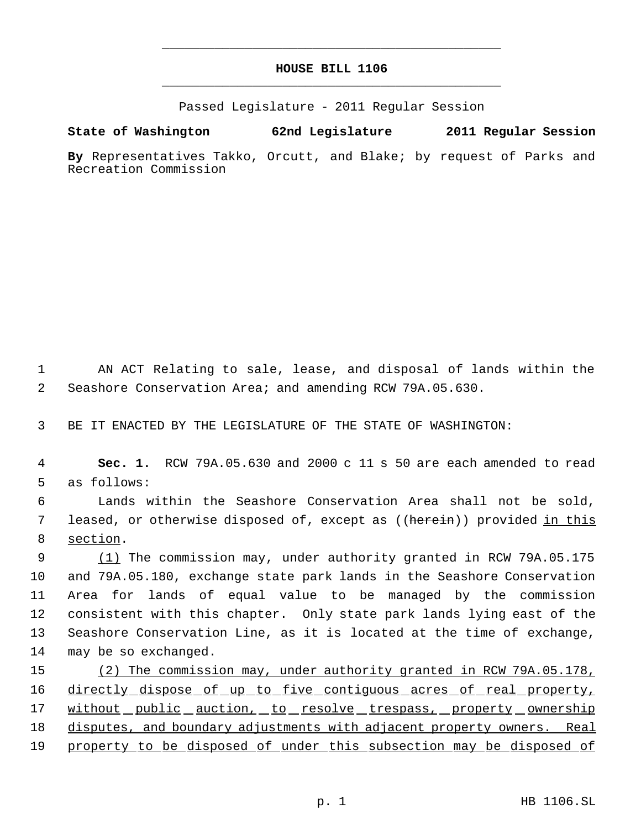## **HOUSE BILL 1106** \_\_\_\_\_\_\_\_\_\_\_\_\_\_\_\_\_\_\_\_\_\_\_\_\_\_\_\_\_\_\_\_\_\_\_\_\_\_\_\_\_\_\_\_\_

\_\_\_\_\_\_\_\_\_\_\_\_\_\_\_\_\_\_\_\_\_\_\_\_\_\_\_\_\_\_\_\_\_\_\_\_\_\_\_\_\_\_\_\_\_

Passed Legislature - 2011 Regular Session

**State of Washington 62nd Legislature 2011 Regular Session**

**By** Representatives Takko, Orcutt, and Blake; by request of Parks and Recreation Commission

 1 AN ACT Relating to sale, lease, and disposal of lands within the 2 Seashore Conservation Area; and amending RCW 79A.05.630.

3 BE IT ENACTED BY THE LEGISLATURE OF THE STATE OF WASHINGTON:

 4 **Sec. 1.** RCW 79A.05.630 and 2000 c 11 s 50 are each amended to read 5 as follows:

 6 Lands within the Seashore Conservation Area shall not be sold, 7 leased, or otherwise disposed of, except as ((<del>herein</del>)) provided <u>in this</u> 8 section.

9 (1) The commission may, under authority granted in RCW 79A.05.175 and 79A.05.180, exchange state park lands in the Seashore Conservation Area for lands of equal value to be managed by the commission consistent with this chapter. Only state park lands lying east of the Seashore Conservation Line, as it is located at the time of exchange, may be so exchanged.

15 (2) The commission may, under authority granted in RCW 79A.05.178, 16 directly dispose of up to five contiguous acres of real property, 17 without public auction, to resolve trespass, property ownership 18 disputes, and boundary adjustments with adjacent property owners. Real 19 property to be disposed of under this subsection may be disposed of